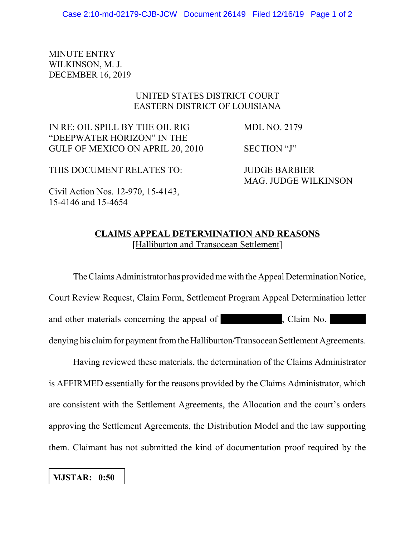MINUTE ENTRY WILKINSON, M. J. DECEMBER 16, 2019

## UNITED STATES DISTRICT COURT EASTERN DISTRICT OF LOUISIANA

IN RE: OIL SPILL BY THE OIL RIG MDL NO. 2179 "DEEPWATER HORIZON" IN THE GULF OF MEXICO ON APRIL 20, 2010 SECTION "J"

THIS DOCUMENT RELATES TO: JUDGE BARBIER

MAG. JUDGE WILKINSON

Civil Action Nos. 12-970, 15-4143, 15-4146 and 15-4654

## **CLAIMS APPEAL DETERMINATION AND REASONS** [Halliburton and Transocean Settlement]

The Claims Administrator has provided me with the Appeal Determination Notice, Court Review Request, Claim Form, Settlement Program Appeal Determination letter and other materials concerning the appeal of , Claim No. denying his claim for payment from the Halliburton/Transocean Settlement Agreements.

Having reviewed these materials, the determination of the Claims Administrator is AFFIRMED essentially for the reasons provided by the Claims Administrator, which are consistent with the Settlement Agreements, the Allocation and the court's orders approving the Settlement Agreements, the Distribution Model and the law supporting them. Claimant has not submitted the kind of documentation proof required by the

**MJSTAR: 0:50**